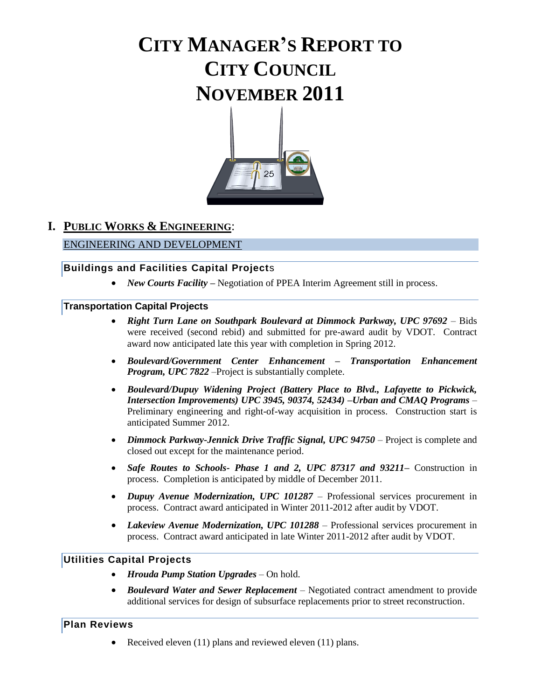# **CITY MANAGER'S REPORT TO CITY COUNCIL NOVEMBER 2011**



## **I. PUBLIC WORKS & ENGINEERING**:

#### ENGINEERING AND DEVELOPMENT

#### **Buildings and Facilities Capital Project**s

• *New Courts Facility* – Negotiation of PPEA Interim Agreement still in process.

#### **Transportation Capital Projects**

- *Right Turn Lane on Southpark Boulevard at Dimmock Parkway, UPC 97692* Bids were received (second rebid) and submitted for pre-award audit by VDOT. Contract award now anticipated late this year with completion in Spring 2012.
- *Boulevard/Government Center Enhancement – Transportation Enhancement Program, UPC 7822 –Project is substantially complete.*
- *Boulevard/Dupuy Widening Project (Battery Place to Blvd., Lafayette to Pickwick, Intersection Improvements) UPC 3945, 90374, 52434) –Urban and CMAQ Programs* – Preliminary engineering and right-of-way acquisition in process. Construction start is anticipated Summer 2012.
- *Dimmock Parkway-Jennick Drive Traffic Signal, UPC 94750 Project is complete and* closed out except for the maintenance period.
- *Safe Routes to Schools- Phase 1 and 2, UPC 87317 and 93211***–** Construction in process. Completion is anticipated by middle of December 2011.
- *Dupuy Avenue Modernization, UPC 101287*  Professional services procurement in process. Contract award anticipated in Winter 2011-2012 after audit by VDOT.
- *Lakeview Avenue Modernization, UPC 101288* Professional services procurement in process. Contract award anticipated in late Winter 2011-2012 after audit by VDOT.

#### **Utilities Capital Projects**

- *Hrouda Pump Station Upgrades* On hold.
- *Boulevard Water and Sewer Replacement* Negotiated contract amendment to provide additional services for design of subsurface replacements prior to street reconstruction.

#### **Plan Reviews**

Received eleven (11) plans and reviewed eleven (11) plans.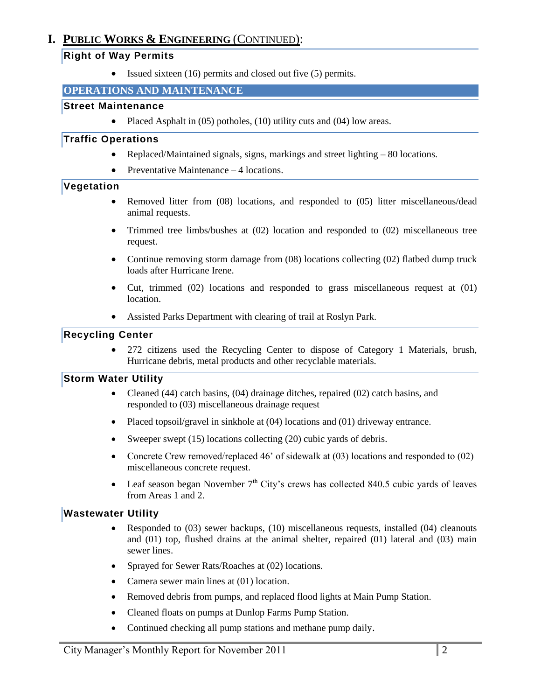## **I. PUBLIC WORKS & ENGINEERING** (CONTINUED):

#### **Right of Way Permits**

 $\bullet$  Issued sixteen (16) permits and closed out five (5) permits.

#### **OPERATIONS AND MAINTENANCE**

#### **Street Maintenance**

• Placed Asphalt in  $(05)$  potholes,  $(10)$  utility cuts and  $(04)$  low areas.

#### **Traffic Operations**

- Replaced/Maintained signals, signs, markings and street lighting 80 locations.
- Preventative Maintenance 4 locations.

#### **Vegetation**

- Removed litter from (08) locations, and responded to (05) litter miscellaneous/dead animal requests.
- Trimmed tree limbs/bushes at (02) location and responded to (02) miscellaneous tree request.
- Continue removing storm damage from (08) locations collecting (02) flatbed dump truck loads after Hurricane Irene.
- Cut, trimmed (02) locations and responded to grass miscellaneous request at (01) location.
- Assisted Parks Department with clearing of trail at Roslyn Park.

#### **Recycling Center**

 272 citizens used the Recycling Center to dispose of Category 1 Materials, brush, Hurricane debris, metal products and other recyclable materials.

#### **Storm Water Utility**

- Cleaned (44) catch basins, (04) drainage ditches, repaired (02) catch basins, and responded to (03) miscellaneous drainage request
- Placed topsoil/gravel in sinkhole at (04) locations and (01) driveway entrance.
- Sweeper swept  $(15)$  locations collecting  $(20)$  cubic yards of debris.
- Concrete Crew removed/replaced 46' of sidewalk at (03) locations and responded to (02) miscellaneous concrete request.
- Leaf season began November  $7<sup>th</sup>$  City's crews has collected 840.5 cubic yards of leaves from Areas 1 and 2.

#### **Wastewater Utility**

- Responded to (03) sewer backups, (10) miscellaneous requests, installed (04) cleanouts and (01) top, flushed drains at the animal shelter, repaired (01) lateral and (03) main sewer lines.
- Sprayed for Sewer Rats/Roaches at (02) locations.
- Camera sewer main lines at (01) location.
- Removed debris from pumps, and replaced flood lights at Main Pump Station.
- Cleaned floats on pumps at Dunlop Farms Pump Station.
- Continued checking all pump stations and methane pump daily.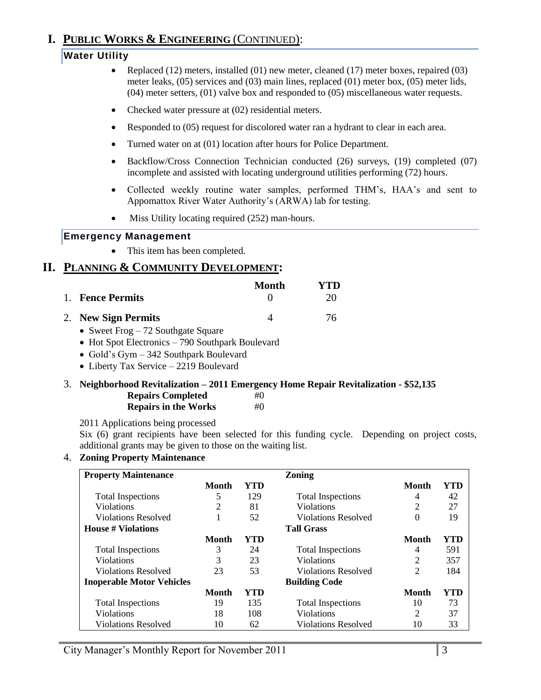## **I. PUBLIC WORKS & ENGINEERING** (CONTINUED):

## **Water Utility**

- Replaced  $(12)$  meters, installed  $(01)$  new meter, cleaned  $(17)$  meter boxes, repaired  $(03)$ meter leaks, (05) services and (03) main lines, replaced (01) meter box, (05) meter lids, (04) meter setters, (01) valve box and responded to (05) miscellaneous water requests.
- Checked water pressure at (02) residential meters.
- Responded to (05) request for discolored water ran a hydrant to clear in each area.
- Turned water on at (01) location after hours for Police Department.
- Backflow/Cross Connection Technician conducted (26) surveys, (19) completed (07) incomplete and assisted with locating underground utilities performing (72) hours.
- Collected weekly routine water samples, performed THM's, HAA's and sent to Appomattox River Water Authority's (ARWA) lab for testing.
- Miss Utility locating required (252) man-hours.

#### **Emergency Management**

• This item has been completed.

## **II. PLANNING & COMMUNITY DEVELOPMENT:**

|                     | Month | YTD. |
|---------------------|-------|------|
| 1. Fence Permits    |       | 20   |
| 2. New Sign Permits |       | 76   |

- Sweet Frog 72 Southgate Square
- Hot Spot Electronics 790 Southpark Boulevard
- Gold's Gym 342 Southpark Boulevard
- Liberty Tax Service 2219 Boulevard

#### 3. **Neighborhood Revitalization – 2011 Emergency Home Repair Revitalization - \$52,135**

| <b>Repairs Completed</b>    | #() |
|-----------------------------|-----|
| <b>Repairs in the Works</b> | #() |

2011 Applications being processed

Six (6) grant recipients have been selected for this funding cycle. Depending on project costs, additional grants may be given to those on the waiting list.

#### 4. **Zoning Property Maintenance**

| <b>Property Maintenance</b>      |       |     | <b>Zoning</b>              |              |     |
|----------------------------------|-------|-----|----------------------------|--------------|-----|
|                                  | Month | YTD |                            | Month        | YTD |
| <b>Total Inspections</b>         | 5     | 129 | <b>Total Inspections</b>   | 4            | 42  |
| <b>Violations</b>                | 2     | 81  | <b>Violations</b>          | 2            | 27  |
| <b>Violations Resolved</b>       |       | 52  | <b>Violations Resolved</b> | 0            | 19  |
| House # Violations               |       |     | <b>Tall Grass</b>          |              |     |
|                                  | Month | YTD |                            | Month        | YTD |
| <b>Total Inspections</b>         | 3     | 24  | <b>Total Inspections</b>   | 4            | 591 |
| <b>Violations</b>                | 3     | 23  | <b>Violations</b>          | 2            | 357 |
| <b>Violations Resolved</b>       | 23    | 53  | <b>Violations Resolved</b> | 2            | 184 |
| <b>Inoperable Motor Vehicles</b> |       |     | <b>Building Code</b>       |              |     |
|                                  | Month | YTD |                            | <b>Month</b> | YTD |
| <b>Total Inspections</b>         | 19    | 135 | <b>Total Inspections</b>   | 10           | 73  |
| <b>Violations</b>                | 18    | 108 | <b>Violations</b>          | 2            | 37  |
| <b>Violations Resolved</b>       | 10    | 62  | <b>Violations Resolved</b> | 10           | 33  |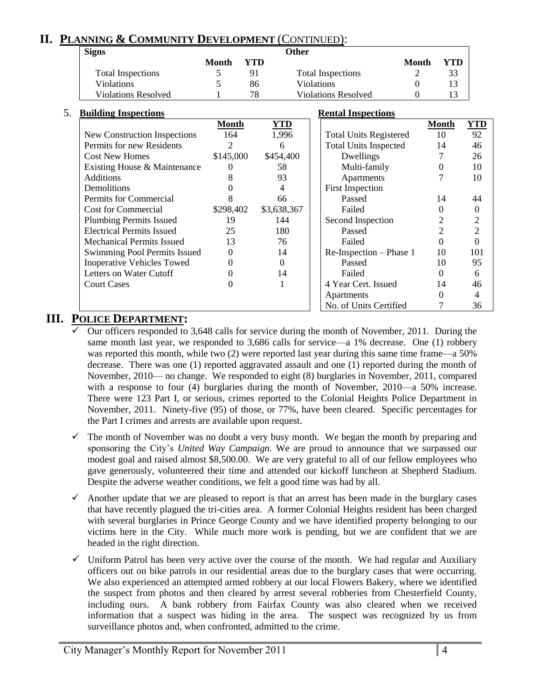## **II. PLANNING & COMMUNITY DEVELOPMENT** (CONTINUED):

| <b>Signs</b>               | Other |     |                            |       |     |  |
|----------------------------|-------|-----|----------------------------|-------|-----|--|
|                            | Month | YTD |                            | Month | YTD |  |
| <b>Total Inspections</b>   |       |     | <b>Total Inspections</b>   |       | 33  |  |
| <b>Violations</b>          |       | 86  | <b>Violations</b>          |       |     |  |
| <b>Violations Resolved</b> |       | 78  | <b>Violations Resolved</b> |       |     |  |

| 5. | <b>Building Inspections</b>       |           |             | <b>Rental Inspections</b>     |                |                |
|----|-----------------------------------|-----------|-------------|-------------------------------|----------------|----------------|
|    |                                   | Month     | <b>YTD</b>  |                               | <b>Month</b>   | <u>YTD</u>     |
|    | New Construction Inspections      | 164       | 1,996       | <b>Total Units Registered</b> | 10             | 92             |
|    | Permits for new Residents         | 2         | 6           | <b>Total Units Inspected</b>  | 14             | 46             |
|    | <b>Cost New Homes</b>             | \$145,000 | \$454,400   | Dwellings                     |                | 26             |
|    | Existing House & Maintenance      | $\Omega$  | 58          | Multi-family                  | $\Omega$       | 10             |
|    | <b>Additions</b>                  | 8         | 93          | Apartments                    |                | 10             |
|    | Demolitions                       |           | 4           | <b>First Inspection</b>       |                |                |
|    | Permits for Commercial            |           | 66          | Passed                        | 14             | 44             |
|    | <b>Cost for Commercial</b>        | \$298,402 | \$3,638,367 | Failed                        | 0              | $\Omega$       |
|    | <b>Plumbing Permits Issued</b>    | 19        | 144         | Second Inspection             | $\overline{2}$ | $\overline{2}$ |
|    | <b>Electrical Permits Issued</b>  | 25        | 180         | Passed                        | 2              | $\overline{2}$ |
|    | <b>Mechanical Permits Issued</b>  | 13        | 76          | Failed                        | 0              | $\theta$       |
|    | Swimming Pool Permits Issued      | $\Omega$  | 14          | Re-Inspection – Phase 1       | 10             | 101            |
|    | <b>Inoperative Vehicles Towed</b> | $\Omega$  | 0           | Passed                        | 10             | 95             |
|    | Letters on Water Cutoff           |           | 14          | Failed                        | $\Omega$       | 6              |
|    | <b>Court Cases</b>                | 0         |             | 4 Year Cert. Issued           | 14             | 46             |
|    |                                   |           |             | Apartments                    | $\Omega$       | 4              |
|    |                                   |           |             | No. of Units Certified        |                | 36             |

## **III. POLICE DEPARTMENT:**

- Our officers responded to 3,648 calls for service during the month of November, 2011. During the same month last year, we responded to 3,686 calls for service—a 1% decrease. One (1) robbery was reported this month, while two (2) were reported last year during this same time frame—a 50% decrease. There was one (1) reported aggravated assault and one (1) reported during the month of November, 2010— no change. We responded to eight (8) burglaries in November, 2011, compared with a response to four (4) burglaries during the month of November, 2010—a 50% increase. There were 123 Part I, or serious, crimes reported to the Colonial Heights Police Department in November, 2011. Ninety-five (95) of those, or 77%, have been cleared. Specific percentages for the Part I crimes and arrests are available upon request.
- The month of November was no doubt a very busy month. We began the month by preparing and sponsoring the City's *United Way Campaign.* We are proud to announce that we surpassed our modest goal and raised almost \$8,500.00. We are very grateful to all of our fellow employees who gave generously, volunteered their time and attended our kickoff luncheon at Shepherd Stadium. Despite the adverse weather conditions, we felt a good time was had by all.
- $\checkmark$  Another update that we are pleased to report is that an arrest has been made in the burglary cases that have recently plagued the tri-cities area. A former Colonial Heights resident has been charged with several burglaries in Prince George County and we have identified property belonging to our victims here in the City. While much more work is pending, but we are confident that we are headed in the right direction.
- $\checkmark$  Uniform Patrol has been very active over the course of the month. We had regular and Auxiliary officers out on bike patrols in our residential areas due to the burglary cases that were occurring. We also experienced an attempted armed robbery at our local Flowers Bakery, where we identified the suspect from photos and then cleared by arrest several robberies from Chesterfield County, including ours. A bank robbery from Fairfax County was also cleared when we received information that a suspect was hiding in the area. The suspect was recognized by us from surveillance photos and, when confronted, admitted to the crime.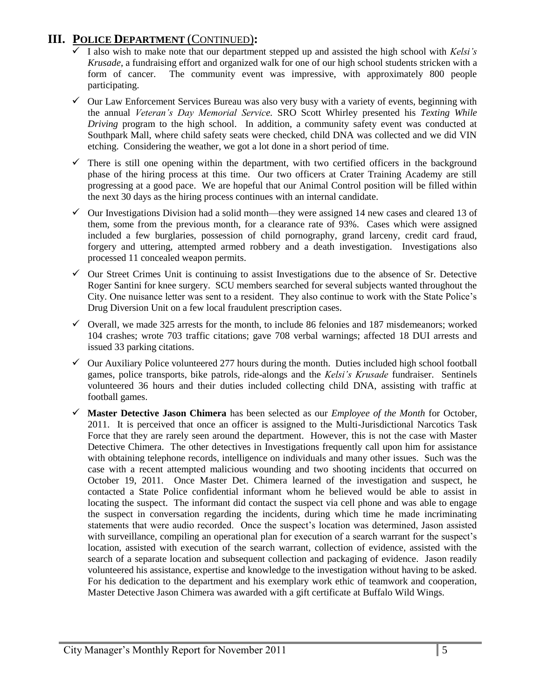## **III. POLICE DEPARTMENT** (CONTINUED)**:**

- I also wish to make note that our department stepped up and assisted the high school with *Kelsi's Krusade*, a fundraising effort and organized walk for one of our high school students stricken with a form of cancer. The community event was impressive, with approximately 800 people participating.
- $\checkmark$  Our Law Enforcement Services Bureau was also very busy with a variety of events, beginning with the annual *Veteran's Day Memorial Service.* SRO Scott Whirley presented his *Texting While Driving* program to the high school. In addition, a community safety event was conducted at Southpark Mall, where child safety seats were checked, child DNA was collected and we did VIN etching. Considering the weather, we got a lot done in a short period of time.
- $\checkmark$  There is still one opening within the department, with two certified officers in the background phase of the hiring process at this time. Our two officers at Crater Training Academy are still progressing at a good pace. We are hopeful that our Animal Control position will be filled within the next 30 days as the hiring process continues with an internal candidate.
- Our Investigations Division had a solid month—they were assigned 14 new cases and cleared 13 of them, some from the previous month, for a clearance rate of 93%. Cases which were assigned included a few burglaries, possession of child pornography, grand larceny, credit card fraud, forgery and uttering, attempted armed robbery and a death investigation. Investigations also processed 11 concealed weapon permits.
- $\checkmark$  Our Street Crimes Unit is continuing to assist Investigations due to the absence of Sr. Detective Roger Santini for knee surgery. SCU members searched for several subjects wanted throughout the City. One nuisance letter was sent to a resident. They also continue to work with the State Police's Drug Diversion Unit on a few local fraudulent prescription cases.
- $\checkmark$  Overall, we made 325 arrests for the month, to include 86 felonies and 187 misdemeanors; worked 104 crashes; wrote 703 traffic citations; gave 708 verbal warnings; affected 18 DUI arrests and issued 33 parking citations.
- $\checkmark$  Our Auxiliary Police volunteered 277 hours during the month. Duties included high school football games, police transports, bike patrols, ride-alongs and the *Kelsi's Krusade* fundraiser. Sentinels volunteered 36 hours and their duties included collecting child DNA, assisting with traffic at football games.
- **Master Detective Jason Chimera** has been selected as our *Employee of the Month* for October, 2011. It is perceived that once an officer is assigned to the Multi-Jurisdictional Narcotics Task Force that they are rarely seen around the department. However, this is not the case with Master Detective Chimera. The other detectives in Investigations frequently call upon him for assistance with obtaining telephone records, intelligence on individuals and many other issues. Such was the case with a recent attempted malicious wounding and two shooting incidents that occurred on October 19, 2011. Once Master Det. Chimera learned of the investigation and suspect, he contacted a State Police confidential informant whom he believed would be able to assist in locating the suspect. The informant did contact the suspect via cell phone and was able to engage the suspect in conversation regarding the incidents, during which time he made incriminating statements that were audio recorded. Once the suspect's location was determined, Jason assisted with surveillance, compiling an operational plan for execution of a search warrant for the suspect's location, assisted with execution of the search warrant, collection of evidence, assisted with the search of a separate location and subsequent collection and packaging of evidence. Jason readily volunteered his assistance, expertise and knowledge to the investigation without having to be asked. For his dedication to the department and his exemplary work ethic of teamwork and cooperation, Master Detective Jason Chimera was awarded with a gift certificate at Buffalo Wild Wings.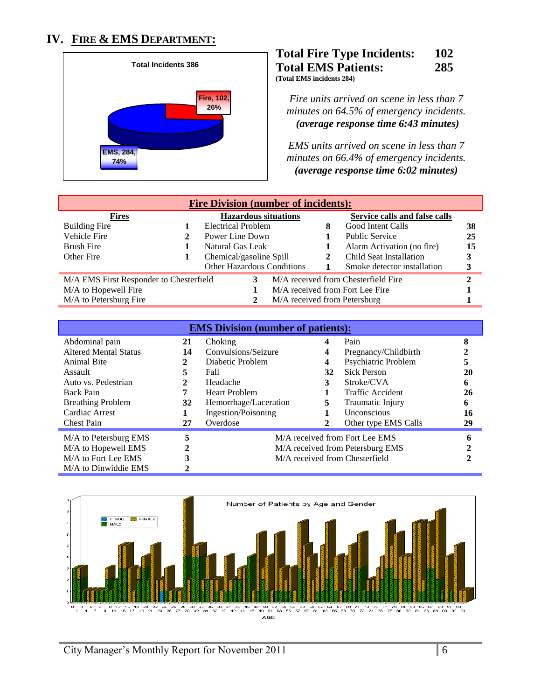## **IV. FIRE & EMS DEPARTMENT:**



#### **Total Fire Type Incidents: 102 Total EMS Patients: 285 (Total EMS incidents 284)**

*Fire units arrived on scene in less than 7 minutes on 64.5% of emergency incidents. <sup>U</sup>(average response time 6:43 minutes)* 

*EMS units arrived on scene in less than 7 minutes on 66.4% of emergency incidents. <sup>U</sup>(average response time 6:02 minutes)*

| <b>Fire Division (number of incidents):</b>                                    |  |                                   |                                 |                               |    |  |  |
|--------------------------------------------------------------------------------|--|-----------------------------------|---------------------------------|-------------------------------|----|--|--|
| <b>Fires</b>                                                                   |  | <b>Hazardous situations</b>       |                                 | Service calls and false calls |    |  |  |
| Building Fire                                                                  |  | <b>Electrical Problem</b>         | 8                               | Good Intent Calls             | 38 |  |  |
| Vehicle Fire                                                                   |  | Power Line Down                   |                                 | <b>Public Service</b>         | 25 |  |  |
| Brush Fire                                                                     |  | Natural Gas Leak                  |                                 | Alarm Activation (no fire)    | 15 |  |  |
| Other Fire                                                                     |  | Chemical/gasoline Spill           | 2                               | Child Seat Installation       |    |  |  |
|                                                                                |  | <b>Other Hazardous Conditions</b> |                                 | Smoke detector installation   |    |  |  |
| M/A EMS First Responder to Chesterfield<br>M/A received from Chesterfield Fire |  |                                   |                                 |                               |    |  |  |
| M/A to Hopewell Fire                                                           |  |                                   | M/A received from Fort Lee Fire |                               |    |  |  |
| M/A to Petersburg Fire                                                         |  | M/A received from Petersburg      |                                 |                               |    |  |  |

| <b>EMS</b> Division (number of patients): |    |                       |    |                                  |    |  |
|-------------------------------------------|----|-----------------------|----|----------------------------------|----|--|
| Abdominal pain                            | 21 | Choking               | 4  | Pain                             | 8  |  |
| <b>Altered Mental Status</b>              | 14 | Convulsions/Seizure   | 4  | Pregnancy/Childbirth             |    |  |
| <b>Animal Bite</b>                        | 2  | Diabetic Problem      | 4  | Psychiatric Problem              | 5  |  |
| Assault                                   | 5  | Fall                  | 32 | <b>Sick Person</b>               | 20 |  |
| Auto vs. Pedestrian                       | 2  | Headache              | 3  | Stroke/CVA                       | 6  |  |
| Back Pain                                 | 7  | <b>Heart Problem</b>  |    | Traffic Accident                 | 26 |  |
| <b>Breathing Problem</b>                  | 32 | Hemorrhage/Laceration | 5  | Traumatic Injury                 | 6  |  |
| Cardiac Arrest                            |    | Ingestion/Poisoning   |    | Unconscious                      | 16 |  |
| <b>Chest Pain</b>                         | 27 | Overdose              |    | Other type EMS Calls             | 29 |  |
| M/A to Petersburg EMS                     | 5  |                       |    | M/A received from Fort Lee EMS   |    |  |
| M/A to Hopewell EMS                       | 2  |                       |    | M/A received from Petersburg EMS |    |  |
| M/A to Fort Lee EMS                       | 3  |                       |    | M/A received from Chesterfield   |    |  |
| M/A to Dinwiddie EMS                      |    |                       |    |                                  |    |  |

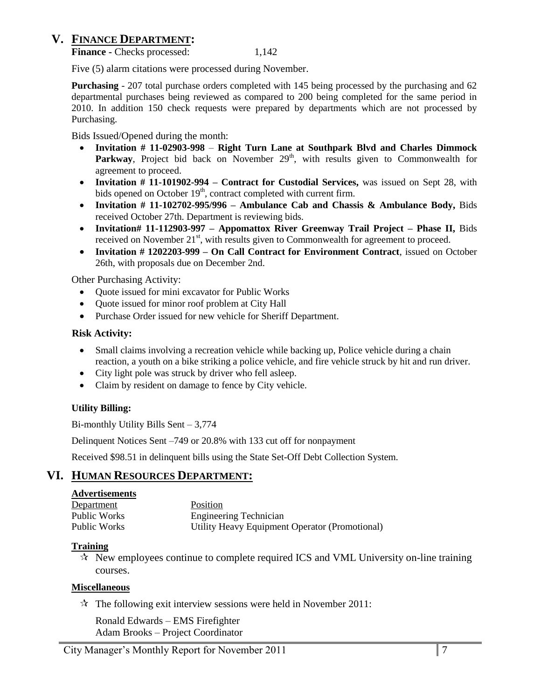## **V. FINANCE DEPARTMENT:**

**Finance -** Checks processed: 1,142

Five (5) alarm citations were processed during November.

**Purchasing** - 207 total purchase orders completed with 145 being processed by the purchasing and 62 departmental purchases being reviewed as compared to 200 being completed for the same period in 2010. In addition 150 check requests were prepared by departments which are not processed by Purchasing.

Bids Issued/Opened during the month:

- **Invitation # 11-02903-998 Right Turn Lane at Southpark Blvd and Charles Dimmock Parkway**, Project bid back on November 29<sup>th</sup>, with results given to Commonwealth for agreement to proceed.
- **Invitation # 11-101902-994 – Contract for Custodial Services,** was issued on Sept 28, with bids opened on October 19<sup>th</sup>, contract completed with current firm.
- **Invitation # 11-102702-995/996 – Ambulance Cab and Chassis & Ambulance Body,** Bids received October 27th. Department is reviewing bids.
- **Invitation# 11-112903-997 – Appomattox River Greenway Trail Project – Phase II,** Bids received on November  $21<sup>st</sup>$ , with results given to Commonwealth for agreement to proceed.
- **Invitation # 1202203-999 – On Call Contract for Environment Contract**, issued on October 26th, with proposals due on December 2nd.

Other Purchasing Activity:

- Quote issued for mini excavator for Public Works
- Quote issued for minor roof problem at City Hall
- Purchase Order issued for new vehicle for Sheriff Department.

#### **Risk Activity:**

- Small claims involving a recreation vehicle while backing up, Police vehicle during a chain reaction, a youth on a bike striking a police vehicle, and fire vehicle struck by hit and run driver.
- City light pole was struck by driver who fell asleep.
- Claim by resident on damage to fence by City vehicle.

#### **Utility Billing:**

Bi-monthly Utility Bills Sent – 3,774

Delinquent Notices Sent –749 or 20.8% with 133 cut off for nonpayment

Received \$98.51 in delinquent bills using the State Set-Off Debt Collection System.

## **VI. HUMAN RESOURCES DEPARTMENT:**

#### **Advertisements**

| Department   | <b>Position</b>                                |
|--------------|------------------------------------------------|
| Public Works | <b>Engineering Technician</b>                  |
| Public Works | Utility Heavy Equipment Operator (Promotional) |

#### **Training**

 $\mathcal{R}$  New employees continue to complete required ICS and VML University on-line training courses.

#### **Miscellaneous**

 $\mathcal{R}$  The following exit interview sessions were held in November 2011:

Ronald Edwards – EMS Firefighter Adam Brooks – Project Coordinator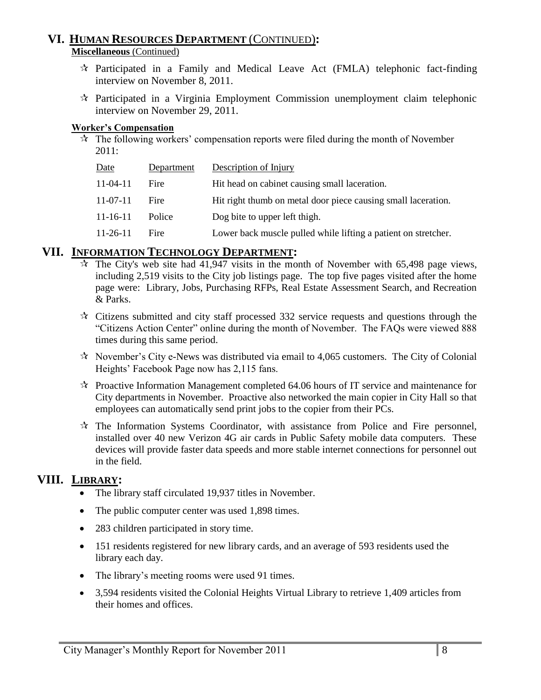#### **VI. HUMAN RESOURCES DEPARTMENT** (CONTINUED)**: Miscellaneous** (Continued)

- $\hat{\tau}$  Participated in a Family and Medical Leave Act (FMLA) telephonic fact-finding interview on November 8, 2011.
- $\mathcal{R}$  Participated in a Virginia Employment Commission unemployment claim telephonic interview on November 29, 2011.

#### **Worker's Compensation**

 $\hat{x}$  The following workers' compensation reports were filed during the month of November 2011:

| Date           | Department | Description of Injury                                          |
|----------------|------------|----------------------------------------------------------------|
| $11-04-11$     | Fire       | Hit head on cabinet causing small laceration.                  |
| $11-07-11$     | Fire       | Hit right thumb on metal door piece causing small laceration.  |
| $11 - 16 - 11$ | Police     | Dog bite to upper left thigh.                                  |
| $11-26-11$     | Fire       | Lower back muscle pulled while lifting a patient on stretcher. |

## **VII. INFORMATION TECHNOLOGY DEPARTMENT:**

- $\dot{\mathbf{x}}$  The City's web site had 41,947 visits in the month of November with 65,498 page views, including 2,519 visits to the City job listings page. The top five pages visited after the home page were: Library, Jobs, Purchasing RFPs, Real Estate Assessment Search, and Recreation & Parks.
- $\lambda$  Citizens submitted and city staff processed 332 service requests and questions through the "Citizens Action Center" online during the month of November. The FAQs were viewed 888 times during this same period.
- $\lambda$  November's City e-News was distributed via email to 4,065 customers. The City of Colonial Heights' Facebook Page now has 2,115 fans.
- $\mathcal{R}$  Proactive Information Management completed 64.06 hours of IT service and maintenance for City departments in November. Proactive also networked the main copier in City Hall so that employees can automatically send print jobs to the copier from their PCs.
- $\mathcal{R}$  The Information Systems Coordinator, with assistance from Police and Fire personnel, installed over 40 new Verizon 4G air cards in Public Safety mobile data computers. These devices will provide faster data speeds and more stable internet connections for personnel out in the field.

## **VIII. LIBRARY:**

- The library staff circulated 19,937 titles in November.
- The public computer center was used 1,898 times.
- 283 children participated in story time.
- 151 residents registered for new library cards, and an average of 593 residents used the library each day.
- The library's meeting rooms were used 91 times.
- 3,594 residents visited the Colonial Heights Virtual Library to retrieve 1,409 articles from their homes and offices.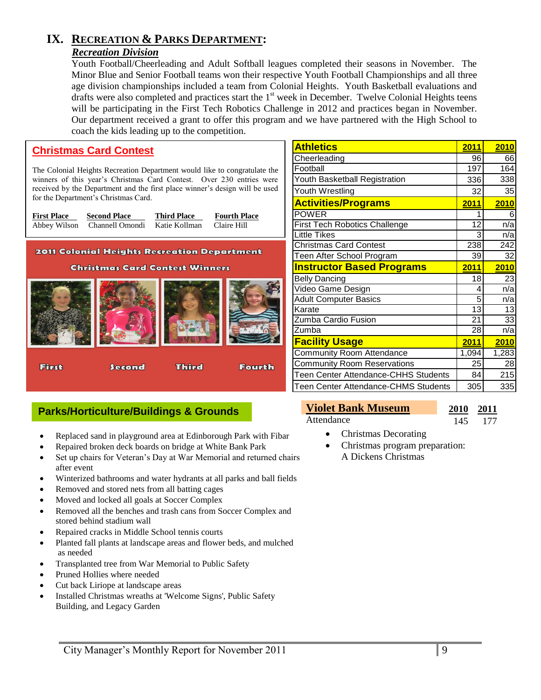## **IX. RECREATION & PARKS DEPARTMENT:**

#### *Recreation Division*

Youth Football/Cheerleading and Adult Softball leagues completed their seasons in November. The Minor Blue and Senior Football teams won their respective Youth Football Championships and all three age division championships included a team from Colonial Heights. Youth Basketball evaluations and drafts were also completed and practices start the 1<sup>st</sup> week in December. Twelve Colonial Heights teens will be participating in the First Tech Robotics Challenge in 2012 and practices began in November. Our department received a grant to offer this program and we have partnered with the High School to coach the kids leading up to the competition.

#### **Christmas Card Contest**

The Colonial Heights Recreation Department would like to congratulate the winners of this year's Christmas Card Contest. Over 230 entries were received by the Department and the first place winner's design will be used for the Department's Christmas Card.

**First Place Second Place Third Place Fourth Place** Abbey Wilson Channell Omondi Katie Kollman Claire Hill

**2011 Colonial Heights Recreation Department** 





| <b>Athletics</b>                                                         | 2011         | <b>2010</b>     |
|--------------------------------------------------------------------------|--------------|-----------------|
| Cheerleading                                                             | 96           | 66              |
| Football                                                                 | 197          | 164             |
| Youth Basketball Registration                                            | 336          | 338             |
| Youth Wrestling                                                          | 32           | 35              |
| <b>Activities/Programs</b>                                               | 2011         | 2010            |
| <b>POWER</b>                                                             |              | 6               |
| First Tech Robotics Challenge                                            | 12           | n/a             |
| <b>Little Tikes</b>                                                      | 3            | n/a             |
| <b>Christmas Card Contest</b>                                            | 238          | 242             |
| Teen After School Program                                                | 39           | 32              |
|                                                                          |              |                 |
| <b>Instructor Based Programs</b>                                         | <u> 2011</u> | 2010            |
| <b>Belly Dancing</b>                                                     | 18           | $\overline{23}$ |
| Video Game Design                                                        | 4            | n/a             |
| <b>Adult Computer Basics</b>                                             | 5            | n/a             |
| Karate                                                                   | 13           | 13              |
| Zumba Cardio Fusion                                                      | 21           | 33              |
| Zumba                                                                    | 28           | n/a             |
| <b>Facility Usage</b>                                                    | 2011         | <b>2010</b>     |
|                                                                          | 1,094        | 1,283           |
| <b>Community Room Reservations</b>                                       | 25           | 28              |
| <b>Community Room Attendance</b><br>Teen Center Attendance-CHHS Students | 84           | 215             |

#### **Parks/Horticulture/Buildings & Grounds**

- Replaced sand in playground area at Edinborough Park with Fibar
- Repaired broken deck boards on bridge at White Bank Park
- Set up chairs for Veteran's Day at War Memorial and returned chairs after event
- Winterized bathrooms and water hydrants at all parks and ball fields
- Removed and stored nets from all batting cages
- Moved and locked all goals at Soccer Complex
- Removed all the benches and trash cans from Soccer Complex and stored behind stadium wall
- Repaired cracks in Middle School tennis courts
- Planted fall plants at landscape areas and flower beds, and mulched as needed
- Transplanted tree from War Memorial to Public Safety
- Pruned Hollies where needed
- Cut back Liriope at landscape areas
- Installed Christmas wreaths at 'Welcome Signs', Public Safety Building, and Legacy Garden

#### **Violet Bank Museum 2010 2011** Attendance 145 177

- Christmas Decorating
	- Christmas program preparation: A Dickens Christmas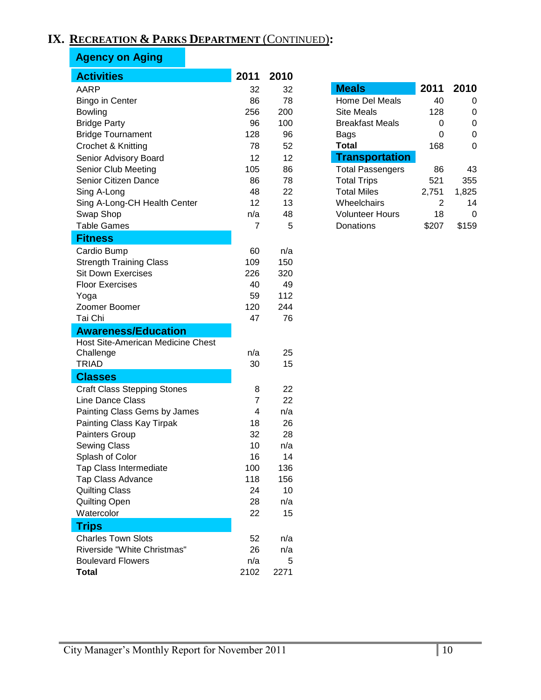## **IX. RECREATION & PARKS DEPARTMENT** (CONTINUED)**:**

## **Agency on Aging**

| <b>Activities</b>                  | 2011           | 2010 |                         |       |                |
|------------------------------------|----------------|------|-------------------------|-------|----------------|
| <b>AARP</b>                        | 32             | 32   | <b>Meals</b>            | 2011  | 2010           |
| <b>Bingo in Center</b>             | 86             | 78   | Home Del Meals          | 40    | 0              |
| <b>Bowling</b>                     | 256            | 200  | <b>Site Meals</b>       | 128   | 0              |
| <b>Bridge Party</b>                | 96             | 100  | <b>Breakfast Meals</b>  | 0     | 0              |
| <b>Bridge Tournament</b>           | 128            | 96   | Bags                    | 0     | $\mathbf 0$    |
| Crochet & Knitting                 | 78             | 52   | <b>Total</b>            | 168   | $\overline{0}$ |
| Senior Advisory Board              | 12             | 12   | <b>Transportation</b>   |       |                |
| Senior Club Meeting                | 105            | 86   | <b>Total Passengers</b> | 86    | 43             |
| Senior Citizen Dance               | 86             | 78   | <b>Total Trips</b>      | 521   | 355            |
| Sing A-Long                        | 48             | 22   | <b>Total Miles</b>      | 2,751 | 1,825          |
| Sing A-Long-CH Health Center       | 12             | 13   | Wheelchairs             | 2     | 14             |
| Swap Shop                          | n/a            | 48   | <b>Volunteer Hours</b>  | 18    | $\mathbf 0$    |
| <b>Table Games</b>                 | $\overline{7}$ | 5    | Donations               | \$207 | \$159          |
| <b>Fitness</b>                     |                |      |                         |       |                |
| Cardio Bump                        | 60             | n/a  |                         |       |                |
| <b>Strength Training Class</b>     | 109            | 150  |                         |       |                |
| <b>Sit Down Exercises</b>          | 226            | 320  |                         |       |                |
| <b>Floor Exercises</b>             | 40             | 49   |                         |       |                |
| Yoga                               | 59             | 112  |                         |       |                |
| Zoomer Boomer                      | 120            | 244  |                         |       |                |
| Tai Chi                            | 47             | 76   |                         |       |                |
| <b>Awareness/Education</b>         |                |      |                         |       |                |
| Host Site-American Medicine Chest  |                |      |                         |       |                |
| Challenge                          | n/a            | 25   |                         |       |                |
| <b>TRIAD</b>                       | 30             | 15   |                         |       |                |
| <b>Classes</b>                     |                |      |                         |       |                |
| <b>Craft Class Stepping Stones</b> | 8              | 22   |                         |       |                |
| Line Dance Class                   | $\overline{7}$ | 22   |                         |       |                |
| Painting Class Gems by James       | 4              | n/a  |                         |       |                |
| Painting Class Kay Tirpak          | 18             | 26   |                         |       |                |
| Painters Group                     | 32             | 28   |                         |       |                |
| Sewing Class                       | 10             | n/a  |                         |       |                |
| Splash of Color                    | 16             | 14   |                         |       |                |
| Tap Class Intermediate             | 100            | 136  |                         |       |                |
| <b>Tap Class Advance</b>           | 118            | 156  |                         |       |                |
| <b>Quilting Class</b>              | 24             | 10   |                         |       |                |
| Quilting Open                      | 28             | n/a  |                         |       |                |
| Watercolor                         | 22             | 15   |                         |       |                |
| <b>Trips</b>                       |                |      |                         |       |                |
| <b>Charles Town Slots</b>          | 52             | n/a  |                         |       |                |
| Riverside "White Christmas"        | 26             | n/a  |                         |       |                |
| <b>Boulevard Flowers</b>           | n/a            | 5    |                         |       |                |
| <b>Total</b>                       | 2102           | 2271 |                         |       |                |

| <b>Meals</b>            |       | 2011 2010 |
|-------------------------|-------|-----------|
| Home Del Meals          | 40    | O         |
| <b>Site Meals</b>       | 128   | ი         |
| <b>Breakfast Meals</b>  | 0     | ი         |
| Bags                    | ი     | O         |
| Total                   | 168   | O         |
| <b>Transportation</b>   |       |           |
| <b>Total Passengers</b> | 86    | 43        |
| <b>Total Trips</b>      | 521   | 355       |
| <b>Total Miles</b>      | 2.751 | 1,825     |
| Wheelchairs             | 2     | 14        |
| <b>Volunteer Hours</b>  | 18    | n         |
| Donations               |       | \$159     |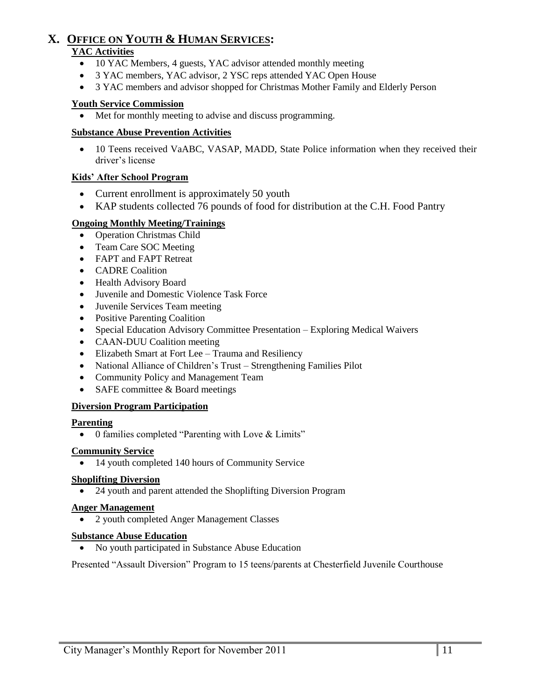## **X. OFFICE ON YOUTH & HUMAN SERVICES:**

#### **YAC Activities**

- 10 YAC Members, 4 guests, YAC advisor attended monthly meeting
- 3 YAC members, YAC advisor, 2 YSC reps attended YAC Open House
- 3 YAC members and advisor shopped for Christmas Mother Family and Elderly Person

#### **Youth Service Commission**

Met for monthly meeting to advise and discuss programming.

#### **Substance Abuse Prevention Activities**

• 10 Teens received VaABC, VASAP, MADD, State Police information when they received their driver's license

#### **Kids' After School Program**

- Current enrollment is approximately 50 youth
- KAP students collected 76 pounds of food for distribution at the C.H. Food Pantry

#### **Ongoing Monthly Meeting/Trainings**

- Operation Christmas Child
- Team Care SOC Meeting
- FAPT and FAPT Retreat
- CADRE Coalition
- Health Advisory Board
- Juvenile and Domestic Violence Task Force
- Juvenile Services Team meeting
- Positive Parenting Coalition
- Special Education Advisory Committee Presentation Exploring Medical Waivers
- CAAN-DUU Coalition meeting
- Elizabeth Smart at Fort Lee Trauma and Resiliency
- National Alliance of Children's Trust Strengthening Families Pilot
- Community Policy and Management Team
- SAFE committee  $&$  Board meetings

#### **Diversion Program Participation**

#### **Parenting**

0 families completed "Parenting with Love & Limits"

#### **Community Service**

• 14 youth completed 140 hours of Community Service

#### **Shoplifting Diversion**

• 24 youth and parent attended the Shoplifting Diversion Program

#### **Anger Management**

• 2 youth completed Anger Management Classes

#### **Substance Abuse Education**

No youth participated in Substance Abuse Education

Presented "Assault Diversion" Program to 15 teens/parents at Chesterfield Juvenile Courthouse